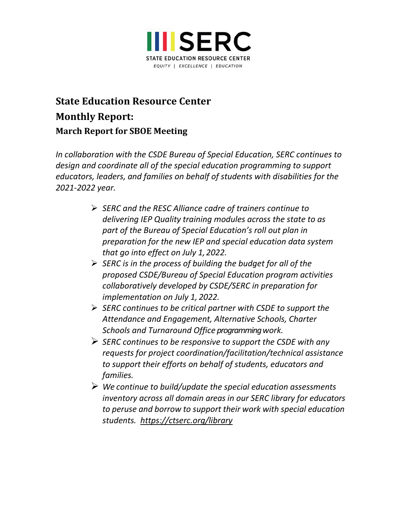

# **State Education Resource Center Monthly Report: March Report for SBOE Meeting**

*In collaboration with the CSDE Bureau of Special Education, SERC continues to design and coordinate all of the special education programming to support educators, leaders, and families on behalf of students with disabilities for the 2021-2022 year.*

- *SERC and the RESC Alliance cadre of trainers continue to delivering IEP Quality training modules across the state to as part of the Bureau of Special Education's roll out plan in preparation for the new IEP and special education data system that go into effect on July 1, 2022.*
- *SERC is in the process of building the budget for all of the proposed CSDE/Bureau of Special Education program activities collaboratively developed by CSDE/SERC in preparation for implementation on July 1, 2022.*
- *SERC continues to be critical partner with CSDE to support the Attendance and Engagement, Alternative Schools, Charter Schools and Turnaround Office programming work.*
- *SERC continues to be responsive to support the CSDE with any requests for project coordination/facilitation/technical assistance to support their efforts on behalf of students, educators and families.*
- *We continue to build/update the special education assessments inventory across all domain areas in our SERC library for educators to peruse and borrow to support their work with special education students. <https://ctserc.org/library>*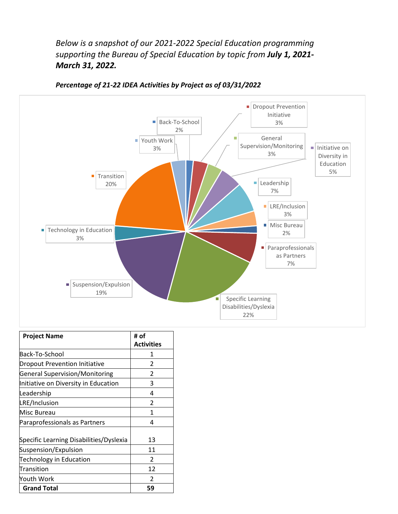*Below is a snapshot of our 2021-2022 Special Education programming supporting the Bureau of Special Education by topic from July 1, 2021- March 31, 2022.*



*Percentage of 21-22 IDEA Activities by Project as of 03/31/2022*

| <b>Project Name</b>                     | # of<br><b>Activities</b> |
|-----------------------------------------|---------------------------|
| Back-To-School                          | 1                         |
| <b>Dropout Prevention Initiative</b>    | $\mathcal{P}$             |
| <b>General Supervision/Monitoring</b>   | 2                         |
| Initiative on Diversity in Education    | 3                         |
| Leadership                              | 4                         |
| LRE/Inclusion                           | $\mathfrak{p}$            |
| Misc Bureau                             | 1                         |
| Paraprofessionals as Partners           | 4                         |
| Specific Learning Disabilities/Dyslexia | 13                        |
| Suspension/Expulsion                    | 11                        |
| <b>Technology in Education</b>          | $\mathcal{P}$             |
| Transition                              | 12                        |
| Youth Work                              | $\mathcal{P}$             |
| <b>Grand Total</b>                      | 59                        |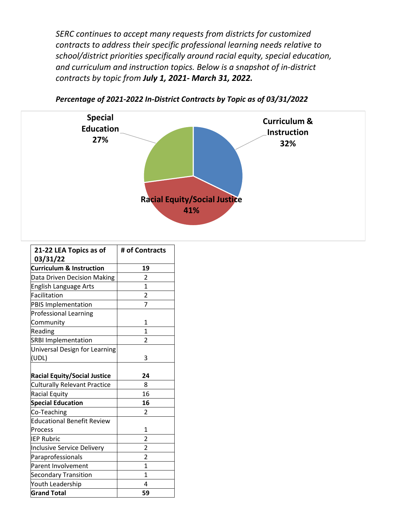*SERC continues to accept many requests from districts for customized contracts to address their specific professional learning needs relative to school/district priorities specifically around racial equity, special education, and curriculum and instruction topics. Below is a snapshot of in-district contracts by topic from July 1, 2021- March 31, 2022.*



*Percentage of 2021-2022 In-District Contracts by Topic as of 03/31/2022*

| 21-22 LEA Topics as of              | # of Contracts |
|-------------------------------------|----------------|
| 03/31/22                            |                |
| <b>Curriculum &amp; Instruction</b> | 19             |
| Data Driven Decision Making         | 2              |
| English Language Arts               | 1              |
| Facilitation                        | $\overline{2}$ |
| PBIS Implementation                 | $\overline{7}$ |
| <b>Professional Learning</b>        |                |
| Community                           | 1              |
| Reading                             | 1              |
| <b>SRBI Implementation</b>          | 2              |
| Universal Design for Learning       |                |
| (UDL)                               | 3              |
|                                     |                |
| <b>Racial Equity/Social Justice</b> | 24             |
| <b>Culturally Relevant Practice</b> | 8              |
| <b>Racial Equity</b>                | 16             |
| <b>Special Education</b>            | 16             |
| Co-Teaching                         | 2              |
| <b>Educational Benefit Review</b>   |                |
| Process                             | 1              |
| <b>IEP Rubric</b>                   | $\overline{2}$ |
| Inclusive Service Delivery          | $\overline{c}$ |
| Paraprofessionals                   | $\overline{2}$ |
| <b>Parent Involvement</b>           | $\mathbf 1$    |
| <b>Secondary Transition</b>         | $\mathbf{1}$   |
| Youth Leadership                    | 4              |
| <b>Grand Total</b>                  | 59             |